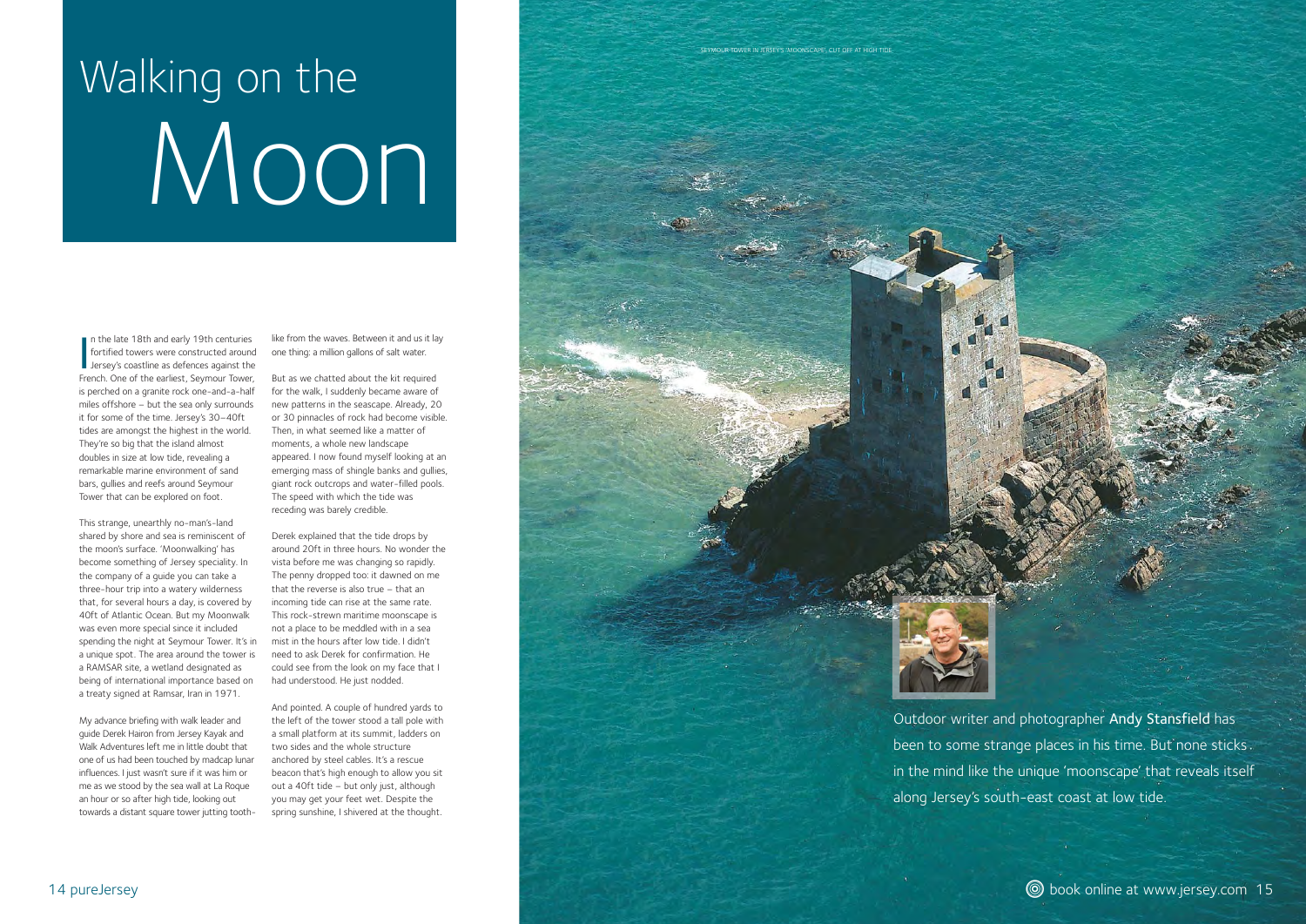## Walking on the Moon

Outdoor writer and photographer Andy Stansfield has been to some strange places in his time. But none sticks in the mind like the unique 'moonscape' that reveals itself along Jersey's south-east coast at low tide.



In the late 18th and early 19th centuries<br>fortified towers were constructed around<br>Jersey's coastline as defences against the French. One of the earliest, Seymour Tower, is perched on a granite rock one-and-a-half miles offshore – but the sea only surrounds it for some of the time. Jersey's 30–40ft tides are amongst the highest in the world. They're so big that the island almost doubles in size at low tide, revealing a remarkable marine environment of sand bars, gullies and reefs around Seymour Tower that can be explored on foot.

This strange, unearthly no-man's-land shared by shore and sea is reminiscent of the moon's surface. 'Moonwalking' has become something of Jersey speciality. In the company of a guide you can take a three-hour trip into a watery wilderness that, for several hours a day, is covered by 40ft of Atlantic Ocean. But my Moonwalk was even more special since it included spending the night at Seymour Tower. It's in a unique spot. The area around the tower is a RAMSAR site, a wetland designated as being of international importance based on a treaty signed at Ramsar, Iran in 1971.

My advance briefing with walk leader and guide Derek Hairon from Jersey Kayak and Walk Adventures left me in little doubt that one of us had been touched by madcap lunar influences. I just wasn't sure if it was him or me as we stood by the sea wall at La Roque an hour or so after high tide, looking out towards a distant square tower jutting tooth-

like from the waves. Between it and us it lay one thing: a million gallons of salt water.

But as we chatted about the kit required for the walk, I suddenly became aware of new patterns in the seascape. Already, 20 or 30 pinnacles of rock had become visible. Then, in what seemed like a matter of moments, a whole new landscape appeared. I now found myself looking at an emerging mass of shingle banks and gullies, giant rock outcrops and water-filled pools. The speed with which the tide was receding was barely credible.

Derek explained that the tide drops by around 20ft in three hours. No wonder the vista before me was changing so rapidly. The penny dropped too: it dawned on me that the reverse is also true – that an incoming tide can rise at the same rate. This rock-strewn maritime moonscape is not a place to be meddled with in a sea mist in the hours after low tide. I didn't need to ask Derek for confirmation. He could see from the look on my face that I had understood. He just nodded.

And pointed. A couple of hundred yards to the left of the tower stood a tall pole with a small platform at its summit, ladders on two sides and the whole structure anchored by steel cables. It's a rescue beacon that's high enough to allow you sit out a 40ft tide – but only just, although you may get your feet wet. Despite the spring sunshine, I shivered at the thought.